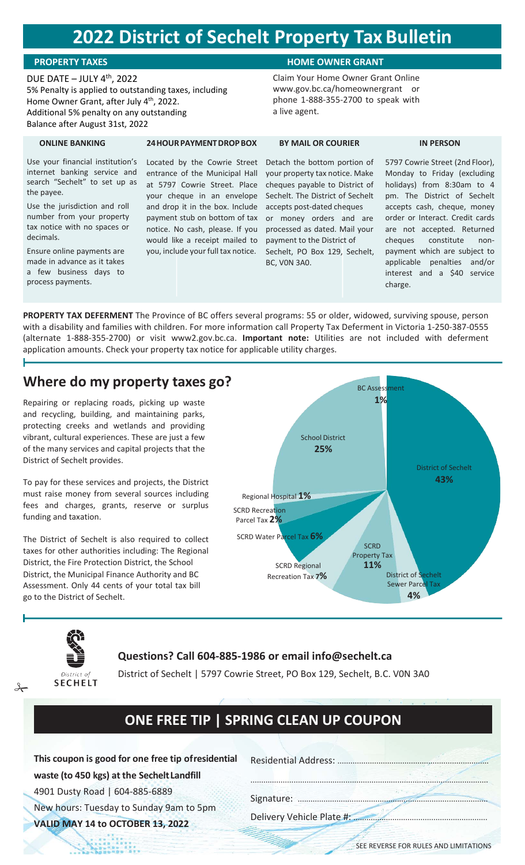# **2022 District of Sechelt Property Tax Bulletin**

**24HOURPAYMENTDROPBOX**

**ONLINE BANKING**

the payee.

decimals.

Use your financial institution's internet banking service and search "Sechelt" to set up as

Use the jurisdiction and roll number from your property tax notice with no spaces or

Ensure online payments are made in advance as it takes a few business days to

process payments.

## DUE DATE  $-$  JULY 4<sup>th</sup>, 2022

5% Penalty is applied to outstanding taxes, including Home Owner Grant, after July 4<sup>th</sup>, 2022. Additional 5% penalty on any outstanding Balance after August 31st, 2022

## **PROPERTY TAXES HOME OWNER GRANT**

Claim Your Home Owner Grant Online [www.gov.bc.ca/homeownergrant](http://www.gov.bc.ca/homeownergrant) or phone 1-888-355-2700 to speak with a live agent.

### **BY MAIL OR COURIER**

Located by the Cowrie Street entrance of the Municipal Hall at 5797 Cowrie Street. Place your cheque in an envelope and drop it in the box. Include payment stub on bottom of tax notice. No cash, please. If you would like a receipt mailed to you, include your full tax notice. Detach the bottom portion of your property tax notice. Make cheques payable to District of Sechelt. The District of Sechelt accepts post-dated cheques or money orders and are processed as dated. Mail your payment to the District of Sechelt, PO Box 129, Sechelt, BC, V0N 3A0.

5797 Cowrie Street (2nd Floor), Monday to Friday (excluding holidays) from 8:30am to 4 pm. The District of Sechelt accepts cash, cheque, money order or Interact. Credit cards are not accepted. Returned cheques constitute nonpayment which are subject to applicable penalties and/or interest and a \$40 service charge.

**IN PERSON**

**PROPERTY TAX DEFERMENT** The Province of BC offers several programs: 55 or older, widowed, surviving spouse, person with a disability and families with children. For more information call Property Tax Deferment in Victoria 1-250-387-0555 (alternate 1-888-355-2700) or visit www2.gov.bc.ca. **Important note:** Utilities are not included with deferment application amounts. Check your property tax notice for applicable utility charges.

## **Where do my property taxes go?**

Repairing or replacing roads, picking up waste and recycling, building, and maintaining parks, protecting creeks and wetlands and providing vibrant, cultural experiences. These are just a few of the many services and capital projects that the District of Sechelt provides.

To pay for these services and projects, the District must raise money from several sources including fees and charges, grants, reserve or surplus funding and taxation.

The District of Sechelt is also required to collect taxes for other authorities including: The Regional District, the Fire Protection District, the School District, the Municipal Finance Authority and BC Assessment. Only 44 cents of your total tax bill go to the District of Sechelt.